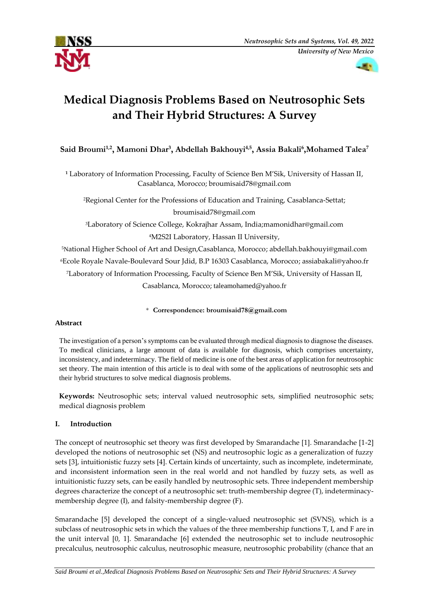



# **Medical Diagnosis Problems Based on Neutrosophic Sets and Their Hybrid Structures: A Survey**

**Said Broumi1,2, Mamoni Dhar<sup>3</sup> , Abdellah Bakhouyi4,5, Assia Bakali<sup>6</sup> ,Mohamed Talea<sup>7</sup>**

**<sup>1</sup>** Laboratory of Information Processing, Faculty of Science Ben M'Sik, University of Hassan II, Casablanca, Morocco; [broumisaid78@gmail.com](mailto:broumisaid78@gmail.com)

<sup>2</sup>Regional Center for the Professions of Education and Training, Casablanca-Settat;

[broumisaid78@gmail.com](mailto:broumisaid78@gmail.com)

<sup>3</sup>Laboratory of Science College, Kokrajhar Assam, India;mamonidhar@gmail.com <sup>4</sup>M2S2I Laboratory, Hassan II University,

National Higher School of Art and Design,Casablanca, Morocco; abdellah.bakhouyi@gmail.com Ecole Royale Navale-Boulevard Sour Jdid, B.P 16303 Casablanca, Morocco; assiabakali@yahoo.fr Laboratory of Information Processing, Faculty of Science Ben M'Sik, University of Hassan II, Casablanca, Morocco; taleamohamed@yahoo.fr

\* **Correspondence: [broumisaid78@gmail.com](mailto:broumisaid78@gmail.com)**

## **Abstract**

The investigation of a person's symptoms can be evaluated through medical diagnosis to diagnose the diseases. To medical clinicians, a large amount of data is available for diagnosis, which comprises uncertainty, inconsistency, and indeterminacy. The field of medicine is one of the best areas of application for neutrosophic set theory. The main intention of this article is to deal with some of the applications of neutrosophic sets and their hybrid structures to solve medical diagnosis problems.

**Keywords:** Neutrosophic sets; interval valued neutrosophic sets, simplified neutrosophic sets; medical diagnosis problem

# **I. Introduction**

The concept of neutrosophic set theory was first developed by Smarandache [1]. Smarandache [1-2] developed the notions of neutrosophic set (NS) and neutrosophic logic as a generalization of fuzzy sets [3], intuitionistic fuzzy sets [4]. Certain kinds of uncertainty, such as incomplete, indeterminate, and inconsistent information seen in the real world and not handled by fuzzy sets, as well as intuitionistic fuzzy sets, can be easily handled by neutrosophic sets. Three independent membership degrees characterize the concept of a neutrosophic set: truth-membership degree (T), indeterminacymembership degree (I), and falsity-membership degree (F).

Smarandache [5] developed the concept of a single-valued neutrosophic set (SVNS), which is a subclass of neutrosophic sets in which the values of the three membership functions T, I, and F are in the unit interval [0, 1]. Smarandache [6] extended the neutrosophic set to include neutrosophic precalculus, neutrosophic calculus, neutrosophic measure, neutrosophic probability (chance that an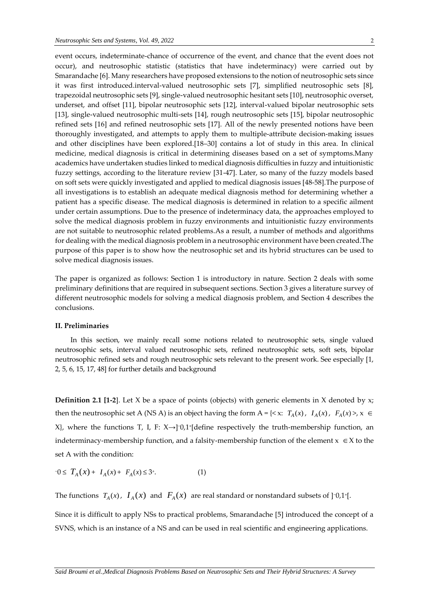event occurs, indeterminate-chance of occurrence of the event, and chance that the event does not occur), and neutrosophic statistic (statistics that have indeterminacy) were carried out by Smarandache [6]. Many researchers have proposed extensions to the notion of neutrosophic sets since it was first introduced.interval-valued neutrosophic sets [7], simplified neutrosophic sets [8], trapezoidal neutrosophic sets [9], single-valued neutrosophic hesitant sets [10], neutrosophic overset, underset, and offset [11], bipolar neutrosophic sets [12], interval-valued bipolar neutrosophic sets [13], single-valued neutrosophic multi-sets [14], rough neutrosophic sets [15], bipolar neutrosophic refined sets [16] and refined neutrosophic sets [17]. All of the newly presented notions have been thoroughly investigated, and attempts to apply them to multiple-attribute decision-making issues and other disciplines have been explored.[18–30] contains a lot of study in this area. In clinical medicine, medical diagnosis is critical in determining diseases based on a set of symptoms.Many academics have undertaken studies linked to medical diagnosis difficulties in fuzzy and intuitionistic fuzzy settings, according to the literature review [31-47]. Later, so many of the fuzzy models based on soft sets were quickly investigated and applied to medical diagnosis issues [48-58].The purpose of all investigations is to establish an adequate medical diagnosis method for determining whether a patient has a specific disease. The medical diagnosis is determined in relation to a specific ailment under certain assumptions. Due to the presence of indeterminacy data, the approaches employed to solve the medical diagnosis problem in fuzzy environments and intuitionistic fuzzy environments are not suitable to neutrosophic related problems.As a result, a number of methods and algorithms for dealing with the medical diagnosis problem in a neutrosophic environment have been created.The purpose of this paper is to show how the neutrosophic set and its hybrid structures can be used to solve medical diagnosis issues.

The paper is organized as follows: Section 1 is introductory in nature. Section 2 deals with some preliminary definitions that are required in subsequent sections. Section 3 gives a literature survey of different neutrosophic models for solving a medical diagnosis problem, and Section 4 describes the conclusions.

### **II. Preliminaries**

In this section, we mainly recall some notions related to neutrosophic sets, single valued neutrosophic sets, interval valued neutrosophic sets, refined neutrosophic sets, soft sets, bipolar neutrosophic refined sets and rough neutrosophic sets relevant to the present work. See especially [1, 2, 5, 6, 15, 17, 48] for further details and background

**Definition 2.1 [1-2**]. Let X be a space of points (objects) with generic elements in X denoted by x; then the neutrosophic set A (NS A) is an object having the form A = {< x:  $T_A(x)$ ,  $I_A(x)$ ,  $F_A(x)$  >,  $x \in$  $X$ , where the functions T, I, F:  $X \rightarrow$ ]<sup>-0</sup>,1<sup>+</sup>[define respectively the truth-membership function, an indeterminacy-membership function, and a falsity-membership function of the element  $x \in X$  to the set A with the condition:

$$
-0 \le T_A(x) + I_A(x) + F_A(x) \le 3^*.
$$
 (1)

The functions  $T_A(x)$ ,  $I_A(x)$  and  $F_A(x)$  are real standard or nonstandard subsets of ]<sup>-0</sup>,1<sup>+</sup>[.

Since it is difficult to apply NSs to practical problems, Smarandache [5] introduced the concept of a SVNS, which is an instance of a NS and can be used in real scientific and engineering applications.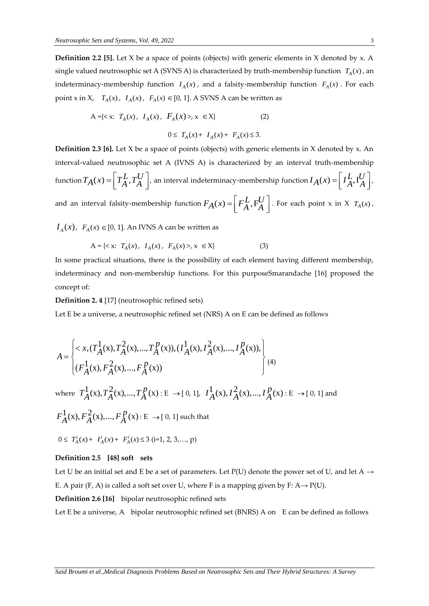**Definition 2.2 [5].** Let X be a space of points (objects) with generic elements in X denoted by x. A single valued neutrosophic set A (SVNS A) is characterized by truth-membership function  $T_A(x)$ , an indeterminacy-membership function  $I_A(x)$ , and a falsity-membership function  $F_A(x)$ . For each point x in X,  $T_A(x)$ ,  $I_A(x)$ ,  $F_A(x) \in [0, 1]$ . A SVNS A can be written as

$$
A = \{ \langle x, T_A(x), I_A(x), F_A(x) \rangle, x \in X \} \tag{2}
$$
\n
$$
0 \le T_A(x) + I_A(x) + F_A(x) \le 3.
$$

**Definition 2.3 [6].** Let X be a space of points (objects) with generic elements in X denoted by x. An interval-valued neutrosophic set A (IVNS A) is characterized by an interval truth-membership function  $T_A(x) = \left[ T_A^L, T_A^U \right]$ , a  $\left[T_A^L,T_A^U\right]$ , an interval indeterminacy-membership function  $I_A(x) = \left[I_A^L,I_A^U\right]$ ,  $\left[\begin{smallmatrix} I_A & I_A \ A & A \end{smallmatrix}\right]$ and an interval falsity-membership function  $F_A(x) = \left\lceil \frac{F_A^L}{F_A^L} \right\rceil$ . I  $\left[ \begin{array}{c} F_A^L, F_A^U \end{array} \right]$ . For each point x in X  $T_A(x)$ ,

 $I_A(x)$ ,  $F_A(x) \in [0, 1]$ . An IVNS A can be written as

$$
A = \{ \langle x; T_A(x), I_A(x), F_A(x) \rangle, x \in X \}
$$
 (3)

In some practical situations, there is the possibility of each element having different membership, indeterminacy and non-membership functions. For this purposeSmarandache [16] proposed the concept of:

**Definition 2. 4** [17] (neutrosophic refined sets)

Let E be a universe, a neutrosophic refined set (NRS) A on E can be defined as follows

$$
A = \begin{cases} < x, (T_A^1(x), T_A^2(x), \dots, T_A^p(x)), (T_A^1(x), T_A^2(x), \dots, T_A^p(x)), \\ & (F_A^1(x), F_A^2(x), \dots, F_A^p(x)) \end{cases} \tag{4}
$$

where  $T_A^1(x), T_A^2(x),..., T_A^p(x): E \to [0, 1], T_A^1(x), T_A^2(x),..., T_A^p(x): E \to [0, 1]$  and  $F_A^1(x), F_A^2(x),..., F_A^p(x): E \to [0, 1]$  such that

$$
0 \leq T_A^i(x) + I_A^i(x) + F_A^i(x) \leq 3 \quad (i=1, 2, 3, \dots, p)
$$

#### **Definition 2.5 [48] soft sets**

Let U be an initial set and E be a set of parameters. Let  $P(U)$  denote the power set of U, and let A  $\rightarrow$ E. A pair (F, A) is called a soft set over U, where F is a mapping given by F:  $A \rightarrow P(U)$ . **Definition 2.6 [16]** bipolar neutrosophic refined sets

Let E be a universe, A bipolar neutrosophic refined set (BNRS) A on E can be defined as follows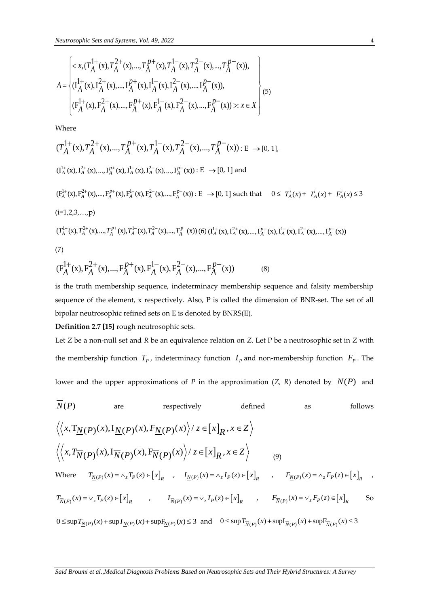$$
N_{eutrosophic Sets and Systems, Vol. 49, 2022}
$$
\n
$$
A = \begin{cases}\n< x, (T_A^{1+}(x), T_A^{2+}(x), \ldots, T_A^{p+}(x), T_A^{1-}(x), T_A^{2-}(x), \ldots, T_A^{p-}(x)), \\
& (T_A^{1+}(x), T_A^{2+}(x), \ldots, T_A^{p+}(x), T_A^{1-}(x), T_A^{2-}(x), \ldots, T_A^{p-}(x)), \\
& (F_A^{1+}(x), F_A^{2+}(x), \ldots, F_A^{p+}(x), F_A^{1-}(x), F_A^{2-}(x), \ldots, F_A^{p-}(x)) > : x \in X\n\end{cases}
$$
\n
$$
(5)
$$

Where

Where  
\n
$$
(T_A^{\frac{1}{4}}(x), T_A^{\frac{2}{4}}(x),..., T_A^{p+}(x), T_A^{\frac{1}{4}}(x), T_A^{\frac{2}{4}}(x),..., T_A^{p-}(x)) : E \rightarrow [0, 1],
$$
\n
$$
(T_A^{\frac{1}{4}}(x), T_A^{\frac{2}{4}}(x),..., T_A^{p+}(x), T_A^{\frac{1}{4}}(x), T_A^{\frac{2}{4}}(x),..., T_A^{p-}(x)) : E \rightarrow [0, 1] \text{ and}
$$
\n
$$
(F_A^{\frac{1}{4}}(x), F_A^{\frac{2}{4}}(x),..., F_A^{p+}(x), F_A^{\frac{1}{4}}(x), F_A^{\frac{2}{4}}(x),..., F_A^{p-}(x)) : E \rightarrow [0, 1] \text{ such that } 0 \le T_A^i(x) + T_A^i(x) + F_A^i(x),
$$
\n
$$
(i=1,2,3,...,p)
$$
\n
$$
(T_A^{\frac{1}{4}}(x), T_A^{\frac{2}{4}}(x),..., T_A^{p+}(x), T_A^{\frac{1}{4}}(x), T_A^{\frac{2}{4}}(x),..., T_A^{p-}(x)) (6) (T_A^{\frac{1}{4}}(x), T_A^{\frac{2}{4}}(x),..., T_A^{p+}(x), T_A^{\frac{1}{4}}(x),..., T_A^{p-}(x))
$$
\n
$$
(7)
$$
\n
$$
(F_A^{\frac{1}{4}}(x), F_A^{\frac{2}{4}}(x),..., F_A^{\frac{p+}{4}}(x), F_A^{\frac{1}{4}}(x), F_A^{\frac{2}{4}}(x),..., F_A^{p-}(x))
$$
\n
$$
(8)
$$

(7)  
\n
$$
(F_A^{1+}(x), F_A^{2+}(x),..., F_A^{p+}(x), F_A^{1-}(x), F_A^{2-}(x),..., F_A^{p-}(x))
$$
\n(8)

is the truth membership sequence, indeterminacy membership sequence and falsity membership sequence of the element, x respectively. Also, P is called the dimension of BNR-set. The set of all bipolar neutrosophic refined sets on E is denoted by BNRS(E).

# **Definition 2.7 [15]** rough neutrosophic sets.

Let *Z* be a non-null set and *R* be an equivalence relation on *Z*. Let P be a neutrosophic set in *Z* with the membership function  $T_p$ , indeterminacy function  $I_p$  and non-membership function  $F_p$ . The lower and the upper approximations of  $P$  in the approximation  $(Z, R)$  denoted by  $N(P)$  and

$$
N(P) \t\t are respectively \t\t defined \t\t as \tfollows
$$
  
\n
$$
\langle \langle x, T_{\underline{N}}(P)(x), I_{\underline{N}}(P)(x), F_{\underline{N}}(P)(x) \rangle \rangle \langle z \in [x]_R, x \in \mathbb{Z} \rangle
$$
  
\n
$$
\langle \langle x, T_{\overline{N}}(P)(x), I_{\overline{N}}(P)(x), F_{\overline{N}}(P)(x) \rangle \rangle \langle z \in [x]_R, x \in \mathbb{Z} \rangle
$$
  
\nWhere  $T_{\underline{N}}(P)(x) = \wedge_z T_P(z) \in [x]_R$ ,  $I_{\underline{N}}(P)(x) = \wedge_z I_P(z) \in [x]_R$ ,  $F_{\underline{N}}(P)(x) = \wedge_z F_P(z) \in [x]_R$ ,  $T_{\overline{N}}(P)(x) = \vee_z T_P(z) \in [x]_R$  So

 $0 \leq \sup T_{\underline{N}(P)}(x) + \sup I_{\underline{N}(P)}(x) + \sup F_{\underline{N}(P)}(x) \leq 3$  and  $0 \leq \sup T_{\overline{N}(P)}(x) + \sup I_{\overline{N}(P)}(x) + \sup F_{\overline{N}(P)}(x) \leq 3$ 

+  $F_A^i(x) \le 3$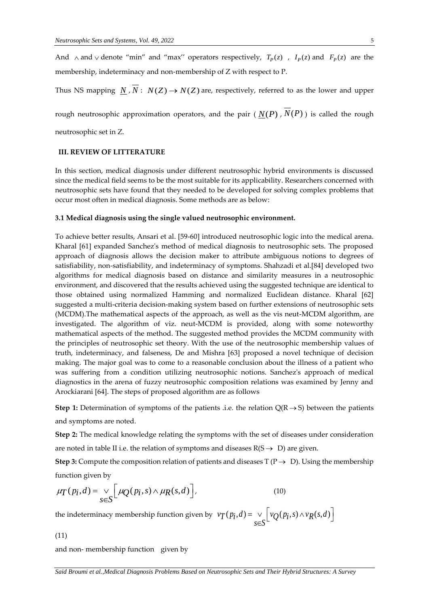And  $\wedge$  and  $\vee$  denote "min" and "max" operators respectively,  $T_p(z)$ ,  $I_p(z)$  and  $F_p(z)$  are the membership, indeterminacy and non-membership of Z with respect to P.

Thus NS mapping  $N/N$ :  $N(Z) \rightarrow N(Z)$  are, respectively, referred to as the lower and upper

rough neutrosophic approximation operators, and the pair (  $N(P)$  ,  $N(P)$  ) is called the rough

neutrosophic set in Z.

### **III. REVIEW OF LITTERATURE**

In this section, medical diagnosis under different neutrosophic hybrid environments is discussed since the medical field seems to be the most suitable for its applicability. Researchers concerned with neutrosophic sets have found that they needed to be developed for solving complex problems that occur most often in medical diagnosis. Some methods are as below:

#### **3.1 Medical diagnosis using the single valued neutrosophic environment.**

To achieve better results, Ansari et al. [59-60] introduced neutrosophic logic into the medical arena. Kharal [61] expanded Sanchez's method of medical diagnosis to neutrosophic sets. The proposed approach of diagnosis allows the decision maker to attribute ambiguous notions to degrees of satisfiability, non-satisfiability, and indeterminacy of symptoms. Shahzadi et al.[84] developed two algorithms for medical diagnosis based on distance and similarity measures in a neutrosophic environment, and discovered that the results achieved using the suggested technique are identical to those obtained using normalized Hamming and normalized Euclidean distance. Kharal [62] suggested a multi-criteria decision-making system based on further extensions of neutrosophic sets (MCDM).The mathematical aspects of the approach, as well as the vis neut-MCDM algorithm, are investigated. The algorithm of viz. neut-MCDM is provided, along with some noteworthy mathematical aspects of the method. The suggested method provides the MCDM community with the principles of neutrosophic set theory. With the use of the neutrosophic membership values of truth, indeterminacy, and falseness, De and Mishra [63] proposed a novel technique of decision making. The major goal was to come to a reasonable conclusion about the illness of a patient who was suffering from a condition utilizing neutrosophic notions. Sanchez's approach of medical diagnostics in the arena of fuzzy neutrosophic composition relations was examined by Jenny and Arockiarani [64]. The steps of proposed algorithm are as follows

**Step 1:** Determination of symptoms of the patients .i.e. the relation  $Q(R \rightarrow S)$  between the patients and symptoms are noted.

**Step 2:** The medical knowledge relating the symptoms with the set of diseases under consideration are noted in table II i.e. the relation of symptoms and diseases  $R(S \rightarrow D)$  are given.

**Step 3:** Compute the composition relation of patients and diseases  $T(P \rightarrow D)$ . Using the membership function given by

function given by  
\n
$$
\mu_T(p_i, d) = \bigvee_{s \in S} \left[ \mu_Q(p_i, s) \wedge \mu_R(s, d) \right],
$$
\n(10)

the indeterminacy membership function given by  $v_T(p_i, d) = \bigvee_{s \in S} \bigg[ v_Q(p_i, s) \wedge v_R(s, d) \bigg]$  $=\int_{s\in S} \left[ vQ(p_i,s)\wedge vR(s,d) \right]$ 

(11)

and non- membership function given by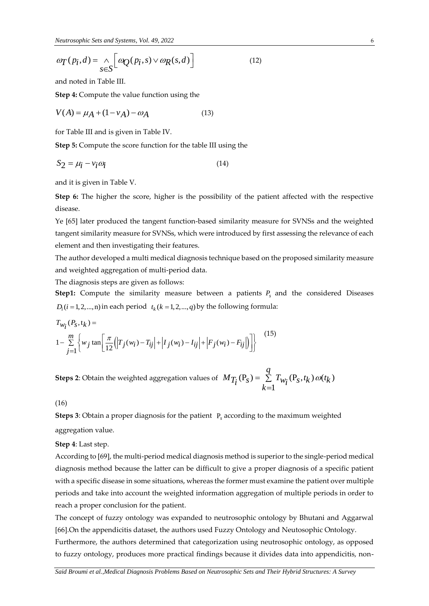$$
\omega_T(p_i, d) = \bigwedge_{s \in S} \left[ \omega_Q(p_i, s) \vee \omega_R(s, d) \right]
$$
(12)

and noted in Table III.

**Step 4:** Compute the value function using the

$$
V(A) = \mu_A + (1 - v_A) - \omega_A \tag{13}
$$

for Table III and is given in Table IV.

**Step 5:** Compute the score function for the table III using the

$$
S_2 = \mu_i - v_i \omega_i \tag{14}
$$

and it is given in Table V.

**Step 6:** The higher the score, higher is the possibility of the patient affected with the respective disease.

Ye [65] later produced the tangent function-based similarity measure for SVNSs and the weighted tangent similarity measure for SVNSs, which were introduced by first assessing the relevance of each element and then investigating their features.

The author developed a multi medical diagnosis technique based on the proposed similarity measure and weighted aggregation of multi-period data.

The diagnosis steps are given as follows:

**Step1:** Compute the similarity measure between a patients  $P_s$  and the considered Diseases  $D_i$  (*i* = 1, 2, ..., n) in each period  $t_k$  (*k* = 1, 2, ..., *q*) by the following formula:

$$
D_i (i = 1, 2, ..., n) \text{ in each period } t_k (k = 1, 2, ..., q) \text{ by the following formula:}
$$
\n
$$
T_{W_i}(P_S, t_k) =
$$
\n
$$
1 - \sum_{j=1}^{m} \left\{ w_j \tan \left[ \frac{\pi}{12} \left( |T_j(w_i) - T_{ij}| + |I_j(w_i) - I_{ij}| + |F_j(w_i) - F_{ij}| \right) \right] \right\}
$$
\n
$$
(15)
$$

**Steps 2**: Obtain the weighted aggregation values of  $\ M_{\bar{T}_l^*}(\mathrm{P}_S) = \ \sum^q \ T_{W_l^*}(\mathrm{P}_S,t_k) \, \omega(t_k)$ 1  $M_{T_i}(P_s) = \sum_{k=1}^{q} T_{w_i}(P_s, t_k) \omega(t_k)$  $= \sum T_{Wi}(\mathbf{P}_s,t_k) \omega$  $=$ 

(16)

**Steps 3**: Obtain a proper diagnosis for the patient P*s* according to the maximum weighted aggregation value.

**Step 4**: Last step.

 $\frac{d\pi}{d\tau}(P_i, d) = \frac{1}{\sqrt{2}} \left[ \alpha q_j(n, s) \vee \alpha p_k(s, d) \right]$  (12)<br>
and noted in Table III.<br>
Step 4: Compute the value function using the<br>
SV(A) =  $\mu_A + (1 - \nu_A) - \omega_A$  (13)<br>
Step 5: Compute the value function for the table III usin According to [69], the multi-period medical diagnosis method is superior to the single-period medical diagnosis method because the latter can be difficult to give a proper diagnosis of a specific patient with a specific disease in some situations, whereas the former must examine the patient over multiple periods and take into account the weighted information aggregation of multiple periods in order to reach a proper conclusion for the patient.

The concept of fuzzy ontology was expanded to neutrosophic ontology by Bhutani and Aggarwal [66].On the appendicitis dataset, the authors used Fuzzy Ontology and Neutosophic Ontology.

Furthermore, the authors determined that categorization using neutrosophic ontology, as opposed to fuzzy ontology, produces more practical findings because it divides data into appendicitis, non-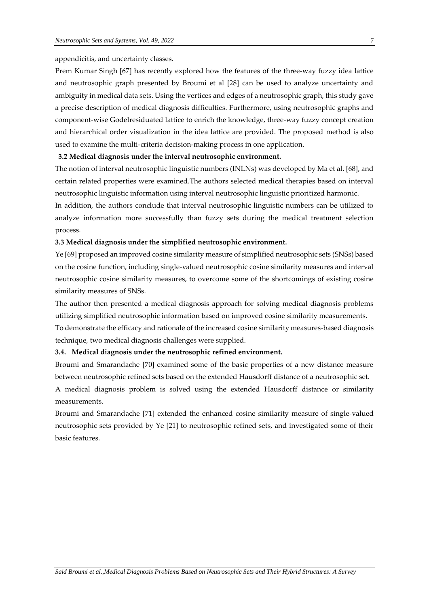#### appendicitis, and uncertainty classes.

Prem Kumar Singh [67] has recently explored how the features of the three-way fuzzy idea lattice and neutrosophic graph presented by Broumi et al [28] can be used to analyze uncertainty and ambiguity in medical data sets. Using the vertices and edges of a neutrosophic graph, this study gave a precise description of medical diagnosis difficulties. Furthermore, using neutrosophic graphs and component-wise Godelresiduated lattice to enrich the knowledge, three-way fuzzy concept creation and hierarchical order visualization in the idea lattice are provided. The proposed method is also used to examine the multi-criteria decision-making process in one application.

#### **3.2 Medical diagnosis under the interval neutrosophic environment.**

The notion of interval neutrosophic linguistic numbers (INLNs) was developed by Ma et al. [68], and certain related properties were examined.The authors selected medical therapies based on interval neutrosophic linguistic information using interval neutrosophic linguistic prioritized harmonic.

In addition, the authors conclude that interval neutrosophic linguistic numbers can be utilized to analyze information more successfully than fuzzy sets during the medical treatment selection process.

#### **3.3 Medical diagnosis under the simplified neutrosophic environment.**

Ye [69] proposed an improved cosine similarity measure of simplified neutrosophic sets (SNSs) based on the cosine function, including single-valued neutrosophic cosine similarity measures and interval neutrosophic cosine similarity measures, to overcome some of the shortcomings of existing cosine similarity measures of SNSs.

The author then presented a medical diagnosis approach for solving medical diagnosis problems utilizing simplified neutrosophic information based on improved cosine similarity measurements. To demonstrate the efficacy and rationale of the increased cosine similarity measures-based diagnosis technique, two medical diagnosis challenges were supplied.

#### **3.4. Medical diagnosis under the neutrosophic refined environment.**

Broumi and Smarandache [70] examined some of the basic properties of a new distance measure between neutrosophic refined sets based on the extended Hausdorff distance of a neutrosophic set. A medical diagnosis problem is solved using the extended Hausdorff distance or similarity measurements.

Broumi and Smarandache [71] extended the enhanced cosine similarity measure of single-valued neutrosophic sets provided by Ye [21] to neutrosophic refined sets, and investigated some of their basic features.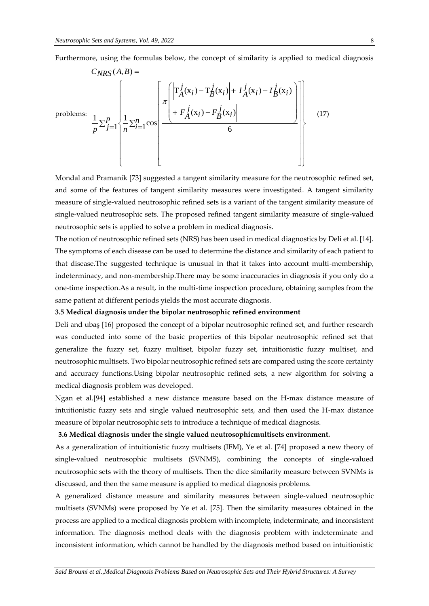Furthermore, using the formulas below, the concept of similarity is applied to medical diagnosis

Furthermore, using the formulas below, the concept of similarity is applied to medica\n
$$
C_{NRS}(A, B) =
$$
\n
$$
\text{problems: } \frac{1}{p} \sum_{j=1}^{p} \left\{ \frac{1}{n} \sum_{i=1}^{n} \cos \left[ \frac{\pi \left( \left| T_A^j(x_i) - T_B^j(x_i) \right| + \left| I_A^j(x_i) - I_B^j(x_i) \right| \right)}{\pi \left( \left| F_A^j(x_i) - F_B^j(x_i) \right| \right)} \right] \right\}
$$
\n(17)

Mondal and Pramanik [73] suggested a tangent similarity measure for the neutrosophic refined set, and some of the features of tangent similarity measures were investigated. A tangent similarity measure of single-valued neutrosophic refined sets is a variant of the tangent similarity measure of single-valued neutrosophic sets. The proposed refined tangent similarity measure of single-valued neutrosophic sets is applied to solve a problem in medical diagnosis.

The notion of neutrosophic refined sets (NRS) has been used in medical diagnostics by Deli et al. [14]. The symptoms of each disease can be used to determine the distance and similarity of each patient to that disease.The suggested technique is unusual in that it takes into account multi-membership, indeterminacy, and non-membership.There may be some inaccuracies in diagnosis if you only do a one-time inspection.As a result, in the multi-time inspection procedure, obtaining samples from the same patient at different periods yields the most accurate diagnosis.

#### **3.5 Medical diagnosis under the bipolar neutrosophic refined environment**

Deli and ubaş [16] proposed the concept of a bipolar neutrosophic refined set, and further research was conducted into some of the basic properties of this bipolar neutrosophic refined set that generalize the fuzzy set, fuzzy multiset, bipolar fuzzy set, intuitionistic fuzzy multiset, and neutrosophic multisets. Two bipolar neutrosophic refined sets are compared using the score certainty and accuracy functions.Using bipolar neutrosophic refined sets, a new algorithm for solving a medical diagnosis problem was developed.

Ngan et al.[94] established a new distance measure based on the H-max distance measure of intuitionistic fuzzy sets and single valued neutrosophic sets, and then used the H-max distance measure of bipolar neutrosophic sets to introduce a technique of medical diagnosis.

#### **3.6 Medical diagnosis under the single valued neutrosophicmultisets environment.**

As a generalization of intuitionistic fuzzy multisets (IFM), Ye et al. [74] proposed a new theory of single-valued neutrosophic multisets (SVNMS), combining the concepts of single-valued neutrosophic sets with the theory of multisets. Then the dice similarity measure between SVNMs is discussed, and then the same measure is applied to medical diagnosis problems.

A generalized distance measure and similarity measures between single-valued neutrosophic multisets (SVNMs) were proposed by Ye et al. [75]. Then the similarity measures obtained in the process are applied to a medical diagnosis problem with incomplete, indeterminate, and inconsistent information. The diagnosis method deals with the diagnosis problem with indeterminate and inconsistent information, which cannot be handled by the diagnosis method based on intuitionistic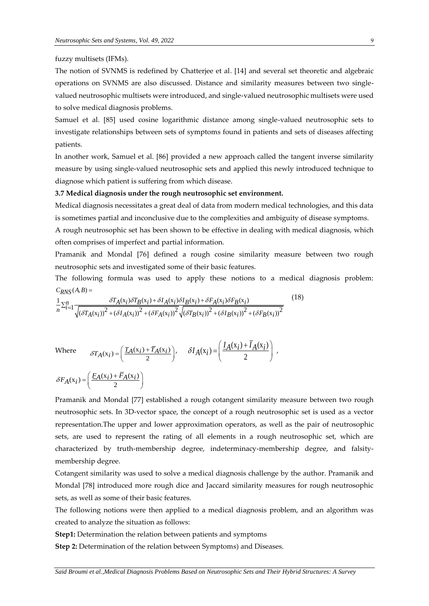fuzzy multisets (IFMs).

The notion of SVNMS is redefined by Chatterjee et al. [14] and several set theoretic and algebraic operations on SVNMS are also discussed. Distance and similarity measures between two singlevalued neutrosophic multisets were introduced, and single-valued neutrosophic multisets were used to solve medical diagnosis problems.

Samuel et al. [85] used cosine logarithmic distance among single-valued neutrosophic sets to investigate relationships between sets of symptoms found in patients and sets of diseases affecting patients.

In another work, Samuel et al. [86] provided a new approach called the tangent inverse similarity measure by using single-valued neutrosophic sets and applied this newly introduced technique to diagnose which patient is suffering from which disease.

#### **3.7 Medical diagnosis under the rough neutrosophic set environment.**

Medical diagnosis necessitates a great deal of data from modern medical technologies, and this data is sometimes partial and inconclusive due to the complexities and ambiguity of disease symptoms.

A rough neutrosophic set has been shown to be effective in dealing with medical diagnosis, which often comprises of imperfect and partial information.

Pramanik and Mondal [76] defined a rough cosine similarity measure between two rough

neutrosophic sets and investigated some of their basic features.<br>The following formula was used to apply these notions<br> $C_{RNS}(A, B) =$ The following formula was used to apply these notions to a medical diagnosis problem:<br>  $C_{RNS}(A,B) = \frac{1}{n} \sum_{i=1}^{n} \frac{\delta T_A(x_i) \delta T_B(x_i) + \delta I_A(x_i) \delta I_B(x_i) + \delta F_A(x_i) \delta F_B(x_i)}{(\cos \theta)^2 + (\cos \theta)^2}$  (18)  $C_{RNS}(A, B) =$ (18)

$$
C_{RNS}(A,B) = \frac{1}{n} \sum_{i=1}^{n} \frac{\delta T_A(x_i) \delta T_B(x_i) + \delta I_A(x_i) \delta I_B(x_i) + \delta F_A(x_i) \delta F_B(x_i)}{\sqrt{(\delta T_A(x_i))^2 + (\delta I_A(x_i))^2 + (\delta F_A(x_i))^2} \sqrt{(\delta T_B(x_i))^2 + (\delta I_B(x_i))^2 + (\delta F_B(x_i))^2}}
$$
(18)

Where 
$$
\delta T_A(x_i) = \left(\frac{T_A(x_i) + \overline{T}_A(x_i)}{2}\right), \quad \delta I_A(x_i) = \left(\frac{I_A(x_i) + \overline{I}_A(x_i)}{2}\right),
$$

 $\delta F_A(x_i) = \left(\frac{F_A(x_i) + \overline{F}_A(x_i)}{2}\right)$  $=\left(\frac{F_A(x_i)+\bar{F}_A(x_i)}{2}\right)$ 

Pramanik and Mondal [77] established a rough cotangent similarity measure between two rough neutrosophic sets. In 3D-vector space, the concept of a rough neutrosophic set is used as a vector representation.The upper and lower approximation operators, as well as the pair of neutrosophic sets, are used to represent the rating of all elements in a rough neutrosophic set, which are characterized by truth-membership degree, indeterminacy-membership degree, and falsitymembership degree.

Cotangent similarity was used to solve a medical diagnosis challenge by the author. Pramanik and Mondal [78] introduced more rough dice and Jaccard similarity measures for rough neutrosophic sets, as well as some of their basic features.

The following notions were then applied to a medical diagnosis problem, and an algorithm was created to analyze the situation as follows:

**Step1:** Determination the relation between patients and symptoms

**Step 2:** Determination of the relation between Symptoms) and Diseases.

*Said Broumi et al.,Medical Diagnosis Problems Based on Neutrosophic Sets and Their Hybrid Structures: A Survey*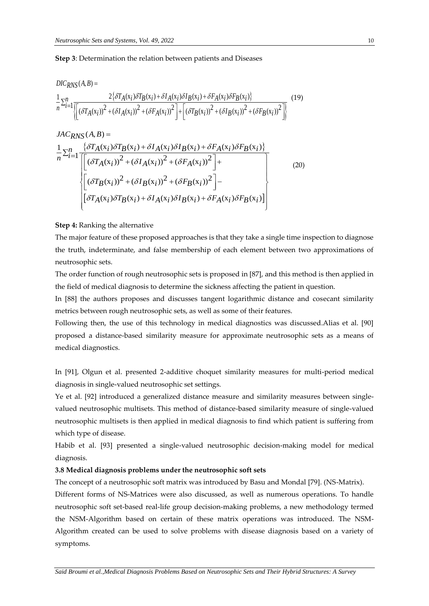**Step 3:** Determination the relation between patients and Diseases  
\n
$$
DIC_{RNS}(A,B) = \frac{2\{\delta T_A(x_i)\delta T_B(x_i) + \delta I_A(x_i)\delta I_B(x_i) + \delta F_A(x_i)\delta F_B(x_i)\}}{\sqrt{\left[\delta T_A(x_i)\delta T_A(x_i)\delta T_B(x_i)\right]^2 + \left[\delta T_B(x_i)\delta T_B(x_i)\delta T_B(x_i)\delta T_B(x_i)\delta T_B(x_i)\delta T_B(x_i)\delta T_B(x_i)\delta T_B(x_i)\delta T_B(x_i)\delta T_B(x_i)\delta T_B(x_i)\delta T_B(x_i)\delta T_B(x_i)\delta T_B(x_i)\delta T_B(x_i)\delta T_B(x_i)\delta T_B(x_i)\delta T_B(x_i)\delta T_B(x_i)\delta T_B(x_i)\delta T_B(x_i)\delta T_B(x_i)\delta T_B(x_i)\delta T_B(x_i)\delta T_B(x_i)\delta T_B(x_i)\delta T_B(x_i)\delta T_B(x_i)\delta T_B(x_i)\delta T_B(x_i)\delta T_B(x_i)\delta T_B(x_i)\delta T_B(x_i)\delta T_B(x_i)\delta T_B(x_i)\delta T_B(x_i)\delta T_B(x_i)\delta T_B(x_i)\delta T_B(x_i)\delta T_B(x_i)\delta T_B(x_i)\delta T_B(x_i)\delta T_B(x_i)\delta T_B(x_i)\delta T_B(x_i)\delta T_B(x_i)\delta T_B(x_i)\delta T_B(x_i)\delta T_B(x_i)\delta T_B(x_i)\delta T_B(x_i)\delta T_B(x_i)\delta T_B(x_i)\delta T_B(x_i)\delta T_B(x_i)\delta T_B(x_i)\delta T_B(x_i)\delta T_B(x_i)\delta T_B(x_i)\delta T_B(x_i)\delta T_B(x_i)\delta T_B(x_i)\delta T_B(x_i)\delta T_B(x_i)\delta T_B(x_i)\delta T_B(x_i)\delta T_B(x_i)\delta T_B(x_i)\delta T_B(x_i)\delta T_B(x_i)\delta T_B(x_i)\delta T_B(x_i)\delta T_B(x_i)\delta T_B(x_i)\delta T_B(x_i)\delta T_B(x_i)\delta T_B(x_i)\delta T_B(x_i)\delta T_B(x_i)\delta T_B(x_i)\delta T_B(x_i)\delta T_B(x_i)\delta T_B(x_i)\delta T_B(x_i)\delta T_B(x_i)\delta T_B(x_i)\delta T_B(x_i)\delta T_B(x_i)\delta T_B(x_i)\delta T_B(x_i)\delta T_B(x_i)\delta T_B(x_i)\delta T_B(x_i)\delta T_B(x_i)\delta T_B(x_i)\delta T_B(x_i)\delta T_B(x_i)\delta T_B(x_i)\delta T_B(x_i)\delta T_B(x_i)\delta T_B(x_i)\delta T_B(x_i)\delta T_B(x_i)\delta T_B(x_i)\delta T_B(x_i)\delta T_B(x_i)\delta T_B(x_i)\delta T_B(x_i)\delta T_B(x_i
$$

$$
JAC_{RNS}(A,B) =
$$
\n
$$
\frac{1}{n} \sum_{i=1}^{n} \frac{\{\delta T_A(x_i)\delta T_B(x_i) + \delta I_A(x_i)\delta I_B(x_i) + \delta F_A(x_i)\delta F_B(x_i)\}}{\left[\left(\delta T_A(x_i)\right)^2 + (\delta I_A(x_i))^2 + (\delta F_A(x_i))^2\right] + \left[\left(\delta T_B(x_i)\right)^2 + (\delta I_B(x_i))^2 + (\delta F_B(x_i))^2\right] - \left[\delta T_A(x_i)\delta T_B(x_i) + \delta I_A(x_i)\delta I_B(x_i) + \delta F_A(x_i)\delta F_B(x_i)\right]}\right]
$$
\n(20)

#### **Step 4:** Ranking the alternative

 $($   $\lambda$   $)$   $\mathbb{R}$ 

The major feature of these proposed approaches is that they take a single time inspection to diagnose the truth, indeterminate, and false membership of each element between two approximations of neutrosophic sets.

The order function of rough neutrosophic sets is proposed in [87], and this method is then applied in the field of medical diagnosis to determine the sickness affecting the patient in question.

In [88] the authors proposes and discusses tangent logarithmic distance and cosecant similarity metrics between rough neutrosophic sets, as well as some of their features.

Following then, the use of this technology in medical diagnostics was discussed.Alias et al. [90] proposed a distance-based similarity measure for approximate neutrosophic sets as a means of medical diagnostics.

In [91], Olgun et al. presented 2-additive choquet similarity measures for multi-period medical diagnosis in single-valued neutrosophic set settings.

Ye et al. [92] introduced a generalized distance measure and similarity measures between singlevalued neutrosophic multisets. This method of distance-based similarity measure of single-valued neutrosophic multisets is then applied in medical diagnosis to find which patient is suffering from which type of disease.

Habib et al. [93] presented a single-valued neutrosophic decision-making model for medical diagnosis.

#### **3.8 Medical diagnosis problems under the neutrosophic soft sets**

The concept of a neutrosophic soft matrix was introduced by Basu and Mondal [79]. (NS-Matrix).

Different forms of NS-Matrices were also discussed, as well as numerous operations. To handle neutrosophic soft set-based real-life group decision-making problems, a new methodology termed the NSM-Algorithm based on certain of these matrix operations was introduced. The NSM-Algorithm created can be used to solve problems with disease diagnosis based on a variety of symptoms.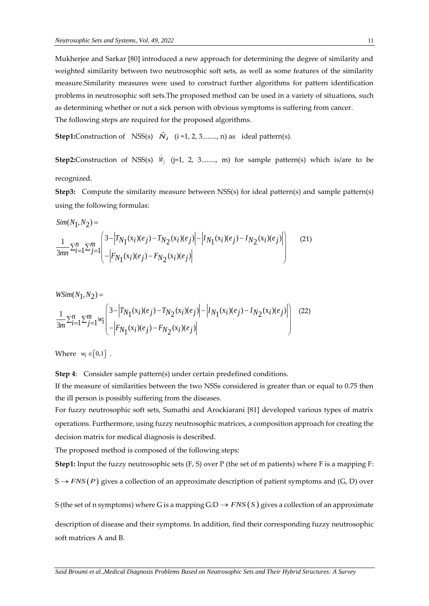Mukherjee and Sarkar [80] introduced a new approach for determining the degree of similarity and weighted similarity between two neutrosophic soft sets, as well as some features of the similarity measure.Similarity measures were used to construct further algorithms for pattern identification problems in neutrosophic soft sets.The proposed method can be used in a variety of situations, such as determining whether or not a sick person with obvious symptoms is suffering from cancer. The following steps are required for the proposed algorithms.

**Step1:**Construction of NSS(s)  $\hat{N}_i$  (i =1, 2, 3........, n) as ideal pattern(s).

**Step2:**Construction of NSS(s)  $\hat{M}_j$  (j=1, 2, 3........, m) for sample pattern(s) which is/are to be recognized.

**Step3:** Compute the similarity measure between NSS(s) for ideal pattern(s) and sample pattern(s) using the following formulas:  $\sum_{i=1}^{n}$  and  $\sum_{i=1}^{n}$  and  $\sum_{i=1}^{n}$  and  $\sum_{i=1}^{n}$  and  $\sum_{i=1}^{n}$  and  $\sum_{i=1}^{n}$  and  $\sum_{i=1}^{n}$  and  $\sum_{i=1}^{n}$  and  $\sum_{i=1}^{n}$  and  $\sum_{i=1}^{n}$  and  $\sum_{i=1}^{n}$  and  $\sum_{i=1}^{n}$  and  $\sum_{i=1}^{n}$  and

$$
Sim(N_1, N_2) =
$$
\n
$$
\frac{1}{3mn} \sum_{i=1}^{n} \sum_{j=1}^{m} \left( \frac{3 - |T_{N_1}(x_i)(e_j) - T_{N_2}(x_i)(e_j)| - |I_{N_1}(x_i)(e_j) - I_{N_2}(x_i)(e_j)|}{-|F_{N_1}(x_i)(e_j) - F_{N_2}(x_i)(e_j)|} \right)
$$
(21)

$$
WSim(N_1, N_2) =
$$
  
\n
$$
\frac{1}{3m} \sum_{i=1}^{n} \sum_{j=1}^{m} w_i \begin{pmatrix} 3 - |T_{N_1}(x_i)(e_j) - T_{N_2}(x_i)(e_j)| - |I_{N_1}(x_i)(e_j) - I_{N_2}(x_i)(e_j)| \\ - |F_{N_1}(x_i)(e_j) - F_{N_2}(x_i)(e_j)| \end{pmatrix}
$$
 (22)

Where  $w_i \in [0,1]$ .

**Step 4:** Consider sample pattern(s) under certain predefined conditions.

If the measure of similarities between the two NSSs considered is greater than or equal to 0.75 then the ill person is possibly suffering from the diseases.

For fuzzy neutrosophic soft sets, Sumathi and Arockiarani [81] developed various types of matrix operations. Furthermore, using fuzzy neutrosophic matrices, a composition approach for creating the decision matrix for medical diagnosis is described.

The proposed method is composed of the following steps:

**Step1:** Input the fuzzy neutrosophic sets (F, S) over P (the set of m patients) where F is a mapping F:

 $S \rightarrow FNS(P)$  gives a collection of an approximate description of patient symptoms and (G, D) over

S (the set of n symptoms) where G is a mapping  $G:D \to FNS(S)$  gives a collection of an approximate

description of disease and their symptoms. In addition, find their corresponding fuzzy neutrosophic soft matrices A and B.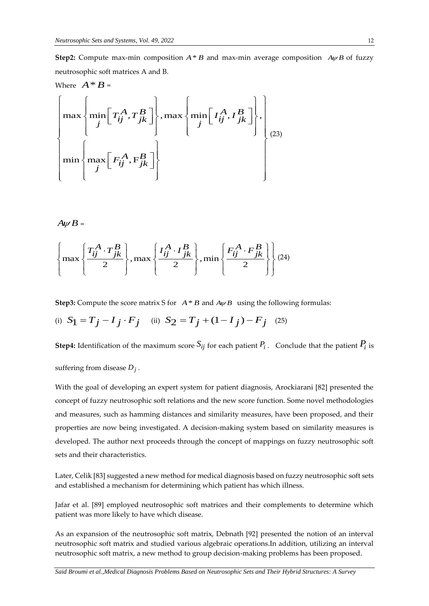**Step2:** Compute max-min composition  $A * B$  and max-min average composition  $A \psi B$  of fuzzy neutrosophic soft matrices A and B.

Where 
$$
A * B =
$$

\n
$$
\begin{bmatrix}\n\max \left\{\min \left[T_{ij}^{A}, T_{jk}^{B}\right]\right\}, \max \left\{\min \left[T_{ij}^{A}, I_{jk}^{B}\right]\right\}, \\
\min \left\{\max \left[F_{ij}^{A}, F_{jk}^{B}\right]\right\}\n\end{bmatrix}
$$
\n
$$
\left\{\min \left\{\max \left[F_{ij}^{A}, F_{jk}^{B}\right]\right\}
$$
\n
$$
\left\{\min \left[\min \left[T_{ij}^{A}, F_{jk}^{B}\right]\right]\right\}
$$

$$
A\psi B=
$$

$$
A\psi B =
$$
\n
$$
\left\{\max \left\{\frac{T_{ij}^A \cdot T_{jk}^B}{2}\right\}, \max \left\{\frac{I_{ij}^A \cdot I_{jk}^B}{2}\right\}, \min \left\{\frac{F_{ij}^A \cdot F_{jk}^B}{2}\right\} \right\} (24)
$$

**Step3:** Compute the score matrix S for  $A * B$  and  $A \psi B$  using the following formulas:

(i) 
$$
S_1 = T_j - I_j \cdot F_j
$$
 (ii)  $S_2 = T_j + (1 - I_j) - F_j$  (25)

**Step4:** Identification of the maximum score  $S_{ij}$  for each patient  $P_i$  . Conclude that the patient  $P_i$  is

suffering from disease *Dj* .

With the goal of developing an expert system for patient diagnosis, Arockiarani [82] presented the concept of fuzzy neutrosophic soft relations and the new score function. Some novel methodologies and measures, such as hamming distances and similarity measures, have been proposed, and their properties are now being investigated. A decision-making system based on similarity measures is developed. The author next proceeds through the concept of mappings on fuzzy neutrosophic soft sets and their characteristics.

Later, Celik [83] suggested a new method for medical diagnosis based on fuzzy neutrosophic soft sets and established a mechanism for determining which patient has which illness.

Jafar et al. [89] employed neutrosophic soft matrices and their complements to determine which patient was more likely to have which disease.

As an expansion of the neutrosophic soft matrix, Debnath [92] presented the notion of an interval neutrosophic soft matrix and studied various algebraic operations.In addition, utilizing an interval neutrosophic soft matrix, a new method to group decision-making problems has been proposed.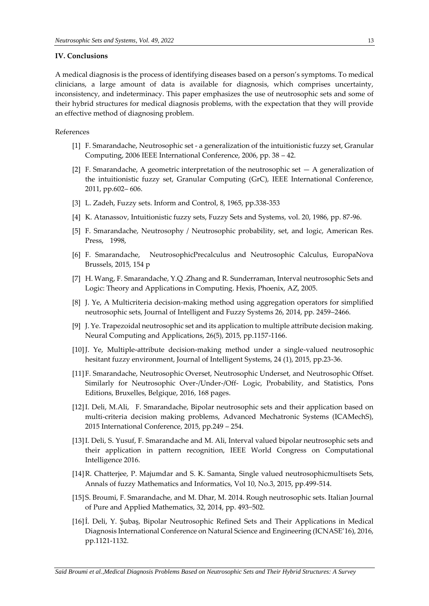#### **IV. Conclusions**

A medical diagnosis is the process of identifying diseases based on a person's symptoms. To medical clinicians, a large amount of data is available for diagnosis, which comprises uncertainty, inconsistency, and indeterminacy. This paper emphasizes the use of neutrosophic sets and some of their hybrid structures for medical diagnosis problems, with the expectation that they will provide an effective method of diagnosing problem.

### References

- [1] F. Smarandache, Neutrosophic set a generalization of the intuitionistic fuzzy set, Granular Computing, 2006 IEEE International Conference, 2006, pp. 38 – 42.
- [2] F. Smarandache, A geometric interpretation of the neutrosophic set  $-$  A generalization of the intuitionistic fuzzy set, Granular Computing (GrC), IEEE International Conference, 2011, pp.602– 606.
- [3] L. Zadeh, Fuzzy sets. Inform and Control, 8, 1965, pp.338-353
- [4] K. Atanassov, Intuitionistic fuzzy sets, Fuzzy Sets and Systems, vol. 20, 1986, pp. 87-96.
- [5] F. Smarandache, Neutrosophy / Neutrosophic probability, set, and logic, American Res. Press, 1998,
- [6] F. Smarandache, NeutrosophicPrecalculus and Neutrosophic Calculus, EuropaNova Brussels, 2015, 154 p
- [7] H. Wang, F. Smarandache, Y.Q .Zhang and R. Sunderraman, Interval neutrosophic Sets and Logic: Theory and Applications in Computing. Hexis, Phoenix, AZ, 2005.
- [8] J. Ye, A Multicriteria decision-making method using aggregation operators for simplified neutrosophic sets, Journal of Intelligent and Fuzzy Systems 26, 2014, pp. 2459–2466.
- [9] J. Ye. Trapezoidal neutrosophic set and its application to multiple attribute decision making. Neural Computing and Applications, 26(5), 2015, pp.1157-1166.
- [10]J. Ye, Multiple-attribute decision-making method under a single-valued neutrosophic hesitant fuzzy environment, Journal of Intelligent Systems, 24 (1), 2015, pp.23-36.
- [11]F. Smarandache, Neutrosophic Overset, Neutrosophic Underset, and Neutrosophic Offset. Similarly for Neutrosophic Over-/Under-/Off- Logic, Probability, and Statistics, Pons Editions, Bruxelles, Belgique, 2016, 168 pages.
- [12]I. Deli, M.Ali, F. Smarandache, Bipolar neutrosophic sets and their application based on multi-criteria decision making problems, Advanced Mechatronic Systems (ICAMechS), 2015 International Conference, 2015, pp.249 – 254.
- [13]I. Deli, S. Yusuf, F. Smarandache and M. Ali, Interval valued bipolar neutrosophic sets and their application in pattern recognition, IEEE World Congress on Computational Intelligence 2016.
- [14]R. Chatterjee, P. Majumdar and S. K. Samanta, Single valued neutrosophicmultisets Sets, Annals of fuzzy Mathematics and Informatics, Vol 10, No.3, 2015, pp.499-514.
- [15]S. Broumi, F. Smarandache, and M. Dhar, M. 2014. Rough neutrosophic sets. Italian Journal of Pure and Applied Mathematics, 32, 2014, pp. 493−502.
- [16]İ. Deli, Y. Şubaş, Bipolar Neutrosophic Refined Sets and Their Applications in Medical Diagnosis International Conference on Natural Science and Engineering (ICNASE'16), 2016, pp.1121-1132.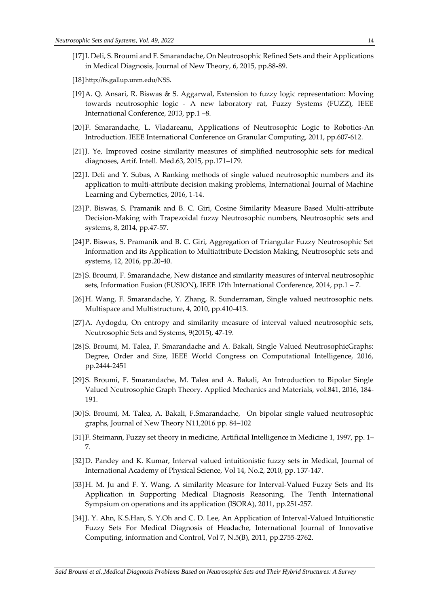- [17]I. Deli, S. Broumi and F. Smarandache, On Neutrosophic Refined Sets and their Applications in Medical Diagnosis, Journal of New Theory, 6, 2015, pp.88-89.
- [18]<http://fs.gallup.unm.edu/NSS>.
- [19]A. Q. Ansari, R. Biswas & S. Aggarwal, Extension to fuzzy logic representation: Moving towards neutrosophic logic - A new laboratory rat, Fuzzy Systems (FUZZ), IEEE International Conference, 2013, pp.1 –8.
- [20]F. Smarandache, L. Vladareanu, Applications of Neutrosophic Logic to Robotics-An Introduction. IEEE International Conference on Granular Computing, 2011, pp.607-612.
- [21]J. Ye, Improved cosine similarity measures of simplified neutrosophic sets for medical diagnoses, Artif. Intell. Med.63, 2015, pp.171–179.
- [22]I. Deli and Y. Subas, A Ranking methods of single valued neutrosophic numbers and its application to multi-attribute decision making problems, International Journal of Machine Learning and Cybernetics, 2016, 1-14.
- [23]P. Biswas, S. Pramanik and B. C. Giri, Cosine Similarity Measure Based Multi-attribute Decision-Making with Trapezoidal fuzzy Neutrosophic numbers, Neutrosophic sets and systems, 8, 2014, pp.47-57.
- [24]P. Biswas, S. Pramanik and B. C. Giri, Aggregation of Triangular Fuzzy Neutrosophic Set Information and its Application to Multiattribute Decision Making, Neutrosophic sets and systems, 12, 2016, pp.20-40.
- [25]S. Broumi, F. Smarandache, New distance and similarity measures of interval neutrosophic sets, Information Fusion (FUSION), IEEE 17th International Conference, 2014, pp.1 – 7.
- [26]H. Wang, F. Smarandache, Y. Zhang, R. Sunderraman, Single valued neutrosophic nets. Multispace and Multistructure, 4, 2010, pp.410-413.
- [27]A. Aydogdu, On entropy and similarity measure of interval valued neutrosophic sets, Neutrosophic Sets and Systems, 9(2015), 47-19.
- [28]S. Broumi, M. Talea, F. Smarandache and A. Bakali, Single Valued NeutrosophicGraphs: Degree, Order and Size, IEEE World Congress on Computational Intelligence, 2016, pp.2444-2451
- [29]S. Broumi, F. Smarandache, M. Talea and A. Bakali, An Introduction to Bipolar Single Valued Neutrosophic Graph Theory. Applied Mechanics and Materials, vol.841, 2016, 184- 191.
- [30]S. Broumi, M. Talea, A. Bakali, F.Smarandache, On bipolar single valued neutrosophic graphs, Journal of New Theory N11,2016 pp. 84–102
- [31]F. Steimann, Fuzzy set theory in medicine, Artificial Intelligence in Medicine 1, 1997, pp. 1– 7.
- [32]D. Pandey and K. Kumar, Interval valued intuitionistic fuzzy sets in Medical, Journal of International Academy of Physical Science, Vol 14, No.2, 2010, pp. 137-147.
- [33]H. M. Ju and F. Y. Wang, A similarity Measure for Interval-Valued Fuzzy Sets and Its Application in Supporting Medical Diagnosis Reasoning, The Tenth International Sympsium on operations and its application (ISORA), 2011, pp.251-257.
- [34]J. Y. Ahn, K.S.Han, S. Y.Oh and C. D. Lee, An Application of Interval-Valued Intuitionstic Fuzzy Sets For Medical Diagnosis of Headache, International Journal of Innovative Computing, information and Control, Vol 7, N.5(B), 2011, pp.2755-2762.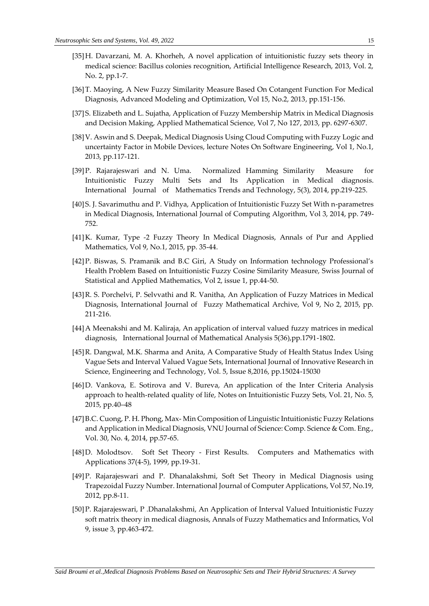- [35]H. Davarzani, M. A. Khorheh, A novel application of intuitionistic fuzzy sets theory in medical science: Bacillus colonies recognition, Artificial Intelligence Research, 2013, Vol. 2, No. 2, pp.1-7.
- [36]T. Maoying, A New Fuzzy Similarity Measure Based On Cotangent Function For Medical Diagnosis, Advanced Modeling and Optimization, Vol 15, No.2, 2013, pp.151-156.
- [37]S. Elizabeth and L. Sujatha, Application of Fuzzy Membership Matrix in Medical Diagnosis and Decision Making, Applied Mathematical Science, Vol 7, No 127, 2013, pp. 6297-6307.
- [38]V. Aswin and S. Deepak, Medical Diagnosis Using Cloud Computing with Fuzzy Logic and uncertainty Factor in Mobile Devices, lecture Notes On Software Engineering, Vol 1, No.1, 2013, pp.117-121.
- [39]P. Rajarajeswari and N. Uma. Normalized Hamming Similarity Measure for Intuitionistic Fuzzy Multi Sets and Its Application in Medical diagnosis. International Journal of Mathematics Trends and Technology, 5(3), 2014, pp.219-225.
- [40]S. J. Savarimuthu and P. Vidhya, Application of Intuitionistic Fuzzy Set With n-parametres in Medical Diagnosis, International Journal of Computing Algorithm, Vol 3, 2014, pp. 749- 752.
- [41]K. Kumar, Type -2 Fuzzy Theory In Medical Diagnosis, Annals of Pur and Applied Mathematics, Vol 9, No.1, 2015, pp. 35-44.
- [42]P. Biswas, S. Pramanik and B.C Giri, A Study on Information technology Professional's Health Problem Based on Intuitionistic Fuzzy Cosine Similarity Measure, Swiss Journal of Statistical and Applied Mathematics, Vol 2, issue 1, pp.44-50.
- [43]R. S. Porchelvi, P. Selvvathi and R. Vanitha, An Application of Fuzzy Matrices in Medical Diagnosis, International Journal of Fuzzy Mathematical Archive, Vol 9, No 2, 2015, pp. 211-216.
- [44]A Meenakshi and M. Kaliraja, An application of interval valued fuzzy matrices in medical diagnosis, International Journal of Mathematical Analysis 5(36),pp.1791-1802.
- [45]R. Dangwal, M.K. Sharma and Anita, A Comparative Study of Health Status Index Using Vague Sets and Interval Valued Vague Sets, International Journal of Innovative Research in Science, Engineering and Technology, Vol. 5, Issue 8,2016, pp.15024-15030
- [46]D. Vankova, E. Sotirova and V. Bureva, An application of the Inter Criteria Analysis approach to health-related quality of life, Notes on Intuitionistic Fuzzy Sets, Vol. 21, No. 5, 2015, pp.40–48
- [47]B.C. Cuong, P. H. Phong, Max- Min Composition of Linguistic Intuitionistic Fuzzy Relations and Application in Medical Diagnosis, VNU Journal of Science: Comp. Science & Com. Eng., Vol. 30, No. 4, 2014, pp.57-65.
- [48]D. Molodtsov. Soft Set Theory First Results. Computers and Mathematics with Applications 37(4-5), 1999, pp.19-31.
- [49]P. Rajarajeswari and P. Dhanalakshmi, Soft Set Theory in Medical Diagnosis using Trapezoidal Fuzzy Number. International Journal of Computer Applications, Vol 57, No.19, 2012, pp.8-11.
- [50]P. Rajarajeswari, P .Dhanalakshmi, An Application of Interval Valued Intuitionistic Fuzzy soft matrix theory in medical diagnosis, Annals of Fuzzy Mathematics and Informatics, Vol 9, issue 3, pp.463-472.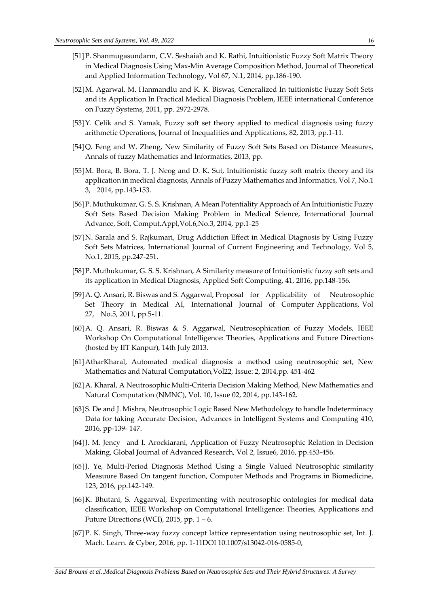- [51]P. Shanmugasundarm, C.V. Seshaiah and K. Rathi, Intuitionistic Fuzzy Soft Matrix Theory in Medical Diagnosis Using Max-Min Average Composition Method, Journal of Theoretical and Applied Information Technology, Vol 67, N.1, 2014, pp.186-190.
- [52]M. Agarwal, M. Hanmandlu and K. K. Biswas, Generalized In tuitionistic Fuzzy Soft Sets and its Application In Practical Medical Diagnosis Problem, IEEE international Conference on Fuzzy Systems, 2011, pp. 2972-2978.
- [53]Y. Celik and S. Yamak, Fuzzy soft set theory applied to medical diagnosis using fuzzy arithmetic Operations, Journal of Inequalities and Applications, 82, 2013, pp.1-11.
- [54]Q. Feng and W. Zheng, New Similarity of Fuzzy Soft Sets Based on Distance Measures, Annals of fuzzy Mathematics and Informatics, 2013, pp.
- [55]M. Bora, B. Bora, T. J. Neog and D. K. Sut, Intuitionistic fuzzy soft matrix theory and its application in medical diagnosis, Annals of Fuzzy Mathematics and Informatics, Vol 7, No.1 3, 2014, pp.143-153.
- [56]P. Muthukumar, G. S. S. Krishnan, A Mean Potentiality Approach of An Intuitionistic Fuzzy Soft Sets Based Decision Making Problem in Medical Science, International Journal Advance, Soft, Comput.Appl,Vol.6,No.3, 2014, pp.1-25
- [57]N. Sarala and S. Rajkumari, Drug Addiction Effect in Medical Diagnosis by Using Fuzzy Soft Sets Matrices, International Journal of Current Engineering and Technology, Vol 5, No.1, 2015, pp.247-251.
- [58]P. Muthukumar, G. S. S. Krishnan, A Similarity measure of Intuitionistic fuzzy soft sets and its application in Medical Diagnosis, Applied Soft Computing, 41, 2016, pp.148-156.
- [59]A. Q. Ansari, R. Biswas and S. Aggarwal, Proposal for Applicability of Neutrosophic Set Theory in Medical AI, International Journal of Computer Applications, Vol 27, No.5, 2011, pp.5-11.
- [60]A. Q. Ansari, R. Biswas & S. Aggarwal, Neutrosophication of Fuzzy Models, IEEE Workshop On Computational Intelligence: Theories, Applications and Future Directions (hosted by IIT Kanpur), 14th July 2013.
- [61]AtharKharal, Automated medical diagnosis: a method using neutrosophic set, New Mathematics and Natural Computation,Vol22, Issue: 2, 2014,pp. 451-462
- [62]A. Kharal, A Neutrosophic Multi-Criteria Decision Making Method, New Mathematics and Natural Computation (NMNC), Vol. 10, Issue 02, 2014, pp.143-162.
- [63]S. De and J. Mishra, Neutrosophic Logic Based New Methodology to handle Indeterminacy Data for taking Accurate Decision, Advances in Intelligent Systems and Computing 410, 2016, pp-139- 147.
- [64]J. M. Jency and I. Arockiarani, Application of Fuzzy Neutrosophic Relation in Decision Making, Global Journal of Advanced Research, Vol 2, Issue6, 2016, pp.453-456.
- [65]J. Ye, Multi-Period Diagnosis Method Using a Single Valued Neutrosophic similarity Measuure Based On tangent function, Computer Methods and Programs in Biomedicine, 123, 2016, pp.142-149.
- [66]K. Bhutani, S. Aggarwal, Experimenting with neutrosophic ontologies for medical data classification, IEEE Workshop on Computational Intelligence: Theories, Applications and Future Directions (WCI), 2015, pp.  $1 - 6$ .
- [67]P. K. Singh, Three-way fuzzy concept lattice representation using neutrosophic set, Int. J. Mach. Learn. & Cyber, 2016, pp. 1-11DOI 10.1007/s13042-016-0585-0,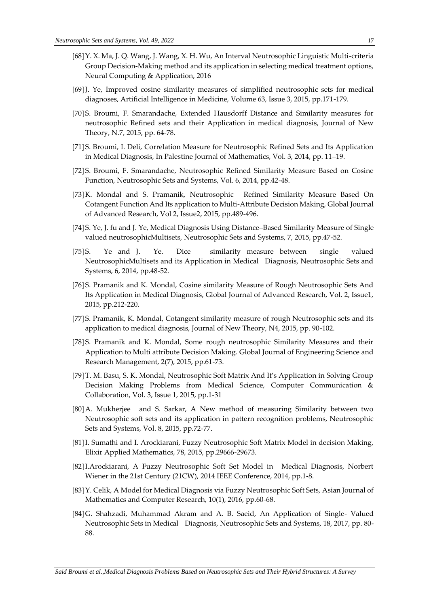- [68]Y. X. Ma, J. Q. Wang, J. Wang, X. H. Wu, An Interval Neutrosophic Linguistic Multi-criteria Group Decision-Making method and its application in selecting medical treatment options, Neural Computing & Application, 2016
- [69]J. Ye, Improved cosine similarity measures of simplified neutrosophic sets for medical diagnoses, Artificial Intelligence in Medicine, Volume 63, Issue 3, 2015, pp.171-179.
- [70]S. Broumi, F. Smarandache, Extended Hausdorff Distance and Similarity measures for neutrosophic Refined sets and their Application in medical diagnosis, Journal of New Theory, N.7, 2015, pp. 64-78.
- [71]S. Broumi, I. Deli, Correlation Measure for Neutrosophic Refined Sets and Its Application in Medical Diagnosis, In Palestine Journal of Mathematics, Vol. 3, 2014, pp. 11–19.
- [72]S. Broumi, F. Smarandache, Neutrosophic Refined Similarity Measure Based on Cosine Function, Neutrosophic Sets and Systems, Vol. 6, 2014, pp.42-48.
- [73]K. Mondal and S. Pramanik, Neutrosophic Refined Similarity Measure Based On Cotangent Function And Its application to Multi-Attribute Decision Making, Global Journal of Advanced Research, Vol 2, Issue2, 2015, pp.489-496.
- [74]S. Ye, J. fu and J. Ye, Medical Diagnosis Using Distance–Based Similarity Measure of Single valued neutrosophicMultisets, Neutrosophic Sets and Systems, 7, 2015, pp.47-52.
- [75]S. Ye and J. Ye. Dice similarity measure between single valued NeutrosophicMultisets and its Application in Medical Diagnosis, Neutrosophic Sets and Systems, 6, 2014, pp.48-52.
- [76]S. Pramanik and K. Mondal, Cosine similarity Measure of Rough Neutrosophic Sets And Its Application in Medical Diagnosis, Global Journal of Advanced Research, Vol. 2, Issue1, 2015, pp.212-220.
- [77]S. Pramanik, K. Mondal, Cotangent similarity measure of rough Neutrosophic sets and its application to medical diagnosis, Journal of New Theory, N4, 2015, pp. 90-102.
- [78]S. Pramanik and K. Mondal, Some rough neutrosophic Similarity Measures and their Application to Multi attribute Decision Making. Global Journal of Engineering Science and Research Management, 2(7), 2015, pp.61-73.
- [79]T. M. Basu, S. K. Mondal, Neutrosophic Soft Matrix And It's Application in Solving Group Decision Making Problems from Medical Science, Computer Communication & Collaboration, Vol. 3, Issue 1, 2015, pp.1-31
- [80]A. Mukherjee and S. Sarkar, A New method of measuring Similarity between two Neutrosophic soft sets and its application in pattern recognition problems, Neutrosophic Sets and Systems, Vol. 8, 2015, pp.72-77.
- [81]I. Sumathi and I. Arockiarani, Fuzzy Neutrosophic Soft Matrix Model in decision Making, Elixir Applied Mathematics, 78, 2015, pp.29666-29673.
- [82]I.Arockiarani, A Fuzzy Neutrosophic Soft Set Model in Medical Diagnosis, Norbert Wiener in the 21st Century (21CW), 2014 IEEE Conference, 2014, pp.1-8.
- [83]Y. Celik, A Model for Medical Diagnosis via Fuzzy Neutrosophic Soft Sets, Asian Journal of Mathematics and Computer Research, 10(1), 2016, pp.60-68.
- [84]G. Shahzadi, Muhammad Akram and A. B. Saeid, An Application of Single- Valued Neutrosophic Sets in Medical Diagnosis, Neutrosophic Sets and Systems, 18, 2017, pp. 80- 88.